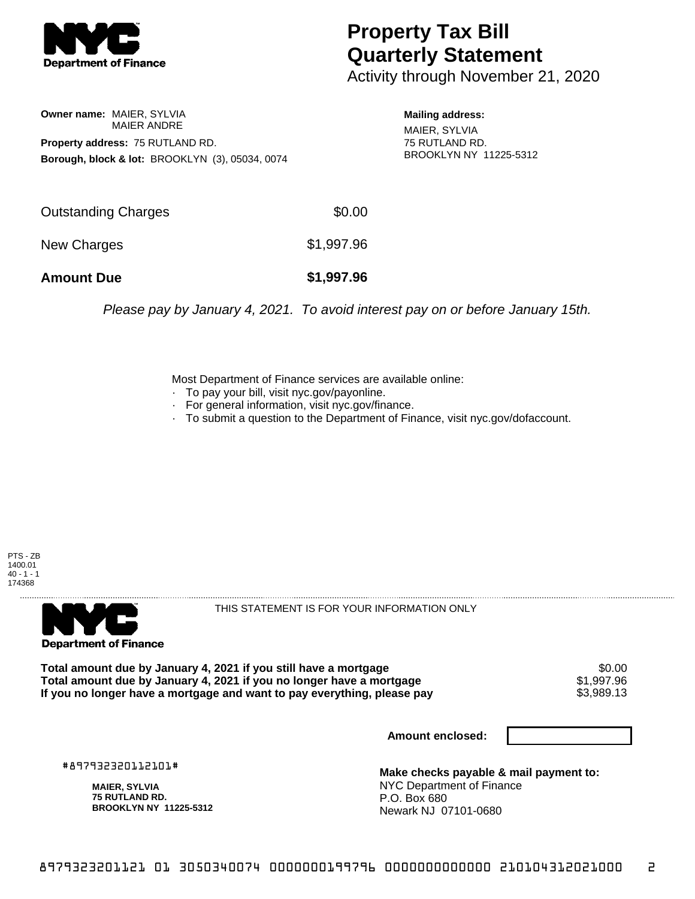

## **Property Tax Bill Quarterly Statement**

Activity through November 21, 2020

**Owner name:** MAIER, SYLVIA MAIER ANDRE **Property address:** 75 RUTLAND RD. **Borough, block & lot:** BROOKLYN (3), 05034, 0074

**Mailing address:** MAIER, SYLVIA 75 RUTLAND RD. BROOKLYN NY 11225-5312

| <b>Amount Due</b>   | \$1,997.96 |
|---------------------|------------|
| New Charges         | \$1,997.96 |
| Outstanding Charges | \$0.00     |

Please pay by January 4, 2021. To avoid interest pay on or before January 15th.

Most Department of Finance services are available online:

- · To pay your bill, visit nyc.gov/payonline.
- For general information, visit nyc.gov/finance.
- · To submit a question to the Department of Finance, visit nyc.gov/dofaccount.

PTS - ZB 1400.01  $40 - 1 - 1$ 174368



THIS STATEMENT IS FOR YOUR INFORMATION ONLY

Total amount due by January 4, 2021 if you still have a mortgage \$0.00<br>Total amount due by January 4, 2021 if you no longer have a mortgage \$1.997.96 **Total amount due by January 4, 2021 if you no longer have a mortgage**  $$1,997.96$ **<br>If you no longer have a mortgage and want to pay everything, please pay <b>show that have a** \$3,989.13 If you no longer have a mortgage and want to pay everything, please pay

**Amount enclosed:**

#897932320112101#

**MAIER, SYLVIA 75 RUTLAND RD. BROOKLYN NY 11225-5312**

**Make checks payable & mail payment to:** NYC Department of Finance P.O. Box 680 Newark NJ 07101-0680